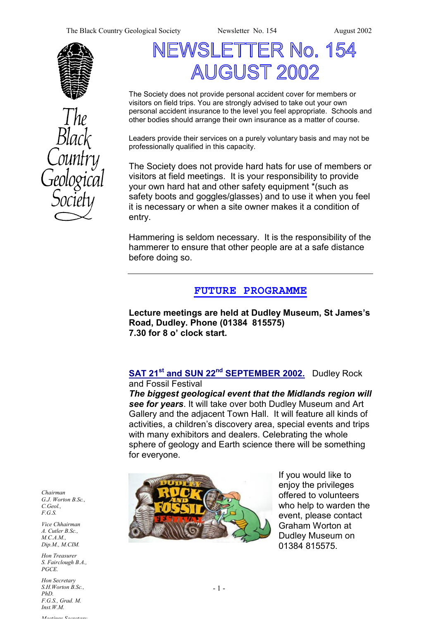The Black Country Geological Society Newsletter No. 154 August 2002





# SLETTER No. 154 **AUGUST 2002**

The Society does not provide personal accident cover for members or visitors on field trips. You are strongly advised to take out your own personal accident insurance to the level you feel appropriate. Schools and other bodies should arrange their own insurance as a matter of course.

Leaders provide their services on a purely voluntary basis and may not be professionally qualified in this capacity.

The Society does not provide hard hats for use of members or visitors at field meetings. It is your responsibility to provide your own hard hat and other safety equipment \*(such as safety boots and goggles/glasses) and to use it when you feel it is necessary or when a site owner makes it a condition of entry.

Hammering is seldom necessary. It is the responsibility of the hammerer to ensure that other people are at a safe distance before doing so.

## **FUTURE PROGRAMME**

**Lecture meetings are held at Dudley Museum, St James's Road, Dudley. Phone (01384 815575) 7.30 for 8 o' clock start.** 

#### **SAT 21st and SUN 22nd SEPTEMBER 2002.** Dudley Rock and Fossil Festival

*The biggest geological event that the Midlands region will see for years*. It will take over both Dudley Museum and Art Gallery and the adjacent Town Hall. It will feature all kinds of activities, a children's discovery area, special events and trips with many exhibitors and dealers. Celebrating the whole sphere of geology and Earth science there will be something for everyone.



If you would like to enjoy the privileges offered to volunteers who help to warden the event, please contact Graham Worton at Dudley Museum on 01384 815575.

*Chairman G.J. Worton B.Sc., C.Geol., F.G.S.* 

*Vice Chhairman A. Cutler B.Sc., M.C.A.M., Dip.M., M.CIM.* 

*Hon Treasurer S. Fairclough B.A., PGCE.* 

 $n \, B.Sc.,$   $-1$  -*Hon Secretary S.H.Worton B.Sc., PhD. F.G.S., Grad. M. Inst.W.M.*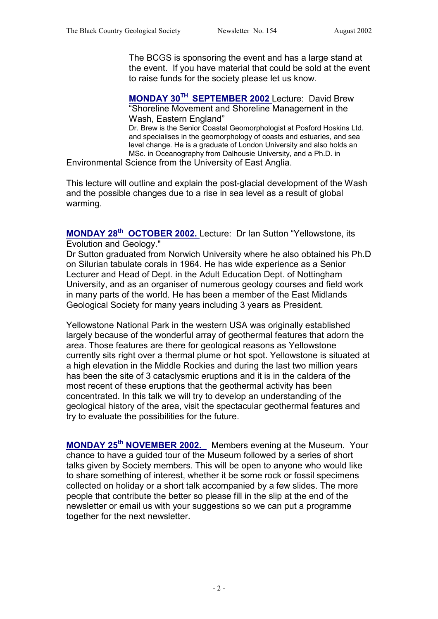The BCGS is sponsoring the event and has a large stand at the event. If you have material that could be sold at the event to raise funds for the society please let us know.

**MONDAY 30TH SEPTEMBER 2002** Lecture: David Brew "Shoreline Movement and Shoreline Management in the Wash, Eastern England"

Dr. Brew is the Senior Coastal Geomorphologist at Posford Hoskins Ltd. and specialises in the geomorphology of coasts and estuaries, and sea level change. He is a graduate of London University and also holds an MSc. in Oceanography from Dalhousie University, and a Ph.D. in

Environmental Science from the University of East Anglia.

This lecture will outline and explain the post-glacial development of the Wash and the possible changes due to a rise in sea level as a result of global warming.

**MONDAY 28th OCTOBER 2002.** Lecture: Dr Ian Sutton "Yellowstone, its Evolution and Geology."

Dr Sutton graduated from Norwich University where he also obtained his Ph.D on Silurian tabulate corals in 1964. He has wide experience as a Senior Lecturer and Head of Dept. in the Adult Education Dept. of Nottingham University, and as an organiser of numerous geology courses and field work in many parts of the world. He has been a member of the East Midlands Geological Society for many years including 3 years as President.

Yellowstone National Park in the western USA was originally established largely because of the wonderful array of geothermal features that adorn the area. Those features are there for geological reasons as Yellowstone currently sits right over a thermal plume or hot spot. Yellowstone is situated at a high elevation in the Middle Rockies and during the last two million years has been the site of 3 cataclysmic eruptions and it is in the caldera of the most recent of these eruptions that the geothermal activity has been concentrated. In this talk we will try to develop an understanding of the geological history of the area, visit the spectacular geothermal features and try to evaluate the possibilities for the future.

**MONDAY 25th NOVEMBER 2002.** Members evening at the Museum. Your chance to have a guided tour of the Museum followed by a series of short talks given by Society members. This will be open to anyone who would like to share something of interest, whether it be some rock or fossil specimens collected on holiday or a short talk accompanied by a few slides. The more people that contribute the better so please fill in the slip at the end of the newsletter or email us with your suggestions so we can put a programme together for the next newsletter.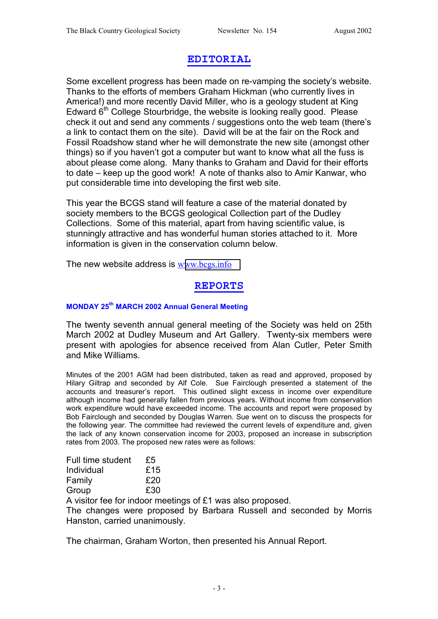## **EDITORIAL**

Some excellent progress has been made on re-vamping the society's website. Thanks to the efforts of members Graham Hickman (who currently lives in America!) and more recently David Miller, who is a geology student at King Edward  $6<sup>th</sup>$  College Stourbridge, the website is looking really good. Please check it out and send any comments / suggestions onto the web team (there's a link to contact them on the site). David will be at the fair on the Rock and Fossil Roadshow stand wher he will demonstrate the new site (amongst other things) so if you haven't got a computer but want to know what all the fuss is about please come along. Many thanks to Graham and David for their efforts to date – keep up the good work! A note of thanks also to Amir Kanwar, who put considerable time into developing the first web site.

This year the BCGS stand will feature a case of the material donated by society members to the BCGS geological Collection part of the Dudley Collections. Some of this material, apart from having scientific value, is stunningly attractive and has wonderful human stories attached to it. More information is given in the conservation column below.

The new website address is w[ww.bcgs.info](http://www.bcgs.info/)

## **REPORTS**

#### **MONDAY 25th MARCH 2002 Annual General Meeting**

The twenty seventh annual general meeting of the Society was held on 25th March 2002 at Dudley Museum and Art Gallery. Twenty-six members were present with apologies for absence received from Alan Cutler, Peter Smith and Mike Williams.

Minutes of the 2001 AGM had been distributed, taken as read and approved, proposed by Hilary Giltrap and seconded by Alf Cole. Sue Fairclough presented a statement of the accounts and treasurer's report. This outlined slight excess in income over expenditure although income had generally fallen from previous years. Without income from conservation work expenditure would have exceeded income. The accounts and report were proposed by Bob Fairclough and seconded by Douglas Warren. Sue went on to discuss the prospects for the following year. The committee had reviewed the current levels of expenditure and, given the lack of any known conservation income for 2003, proposed an increase in subscription rates from 2003. The proposed new rates were as follows:

| Full time student | £5  |
|-------------------|-----|
| Individual        | £15 |
| Family            | £20 |
| Group             | £30 |

A visitor fee for indoor meetings of £1 was also proposed.

The changes were proposed by Barbara Russell and seconded by Morris Hanston, carried unanimously.

The chairman, Graham Worton, then presented his Annual Report.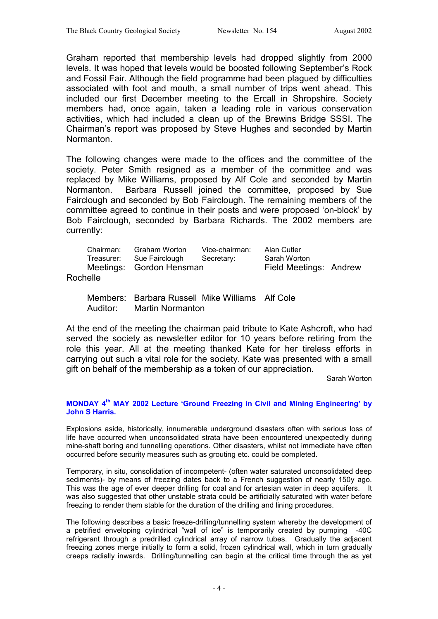Graham reported that membership levels had dropped slightly from 2000 levels. It was hoped that levels would be boosted following September's Rock and Fossil Fair. Although the field programme had been plagued by difficulties associated with foot and mouth, a small number of trips went ahead. This included our first December meeting to the Ercall in Shropshire. Society members had, once again, taken a leading role in various conservation activities, which had included a clean up of the Brewins Bridge SSSI. The Chairman's report was proposed by Steve Hughes and seconded by Martin Normanton.

The following changes were made to the offices and the committee of the society. Peter Smith resigned as a member of the committee and was replaced by Mike Williams, proposed by Alf Cole and seconded by Martin Normanton. Barbara Russell joined the committee, proposed by Sue Fairclough and seconded by Bob Fairclough. The remaining members of the committee agreed to continue in their posts and were proposed 'on-block' by Bob Fairclough, seconded by Barbara Richards. The 2002 members are currently:

| Rochelle | Chairman:<br>Treasurer: | Graham Worton<br>Sue Fairclough<br>Meetings: Gordon Hensman | Vice-chairman:<br>Secretary: | Alan Cutler<br>Sarah Worton<br>Field Meetings: Andrew |  |
|----------|-------------------------|-------------------------------------------------------------|------------------------------|-------------------------------------------------------|--|
|----------|-------------------------|-------------------------------------------------------------|------------------------------|-------------------------------------------------------|--|

 Members: Barbara Russell Mike Williams Alf Cole Auditor: Martin Normanton

At the end of the meeting the chairman paid tribute to Kate Ashcroft, who had served the society as newsletter editor for 10 years before retiring from the role this year. All at the meeting thanked Kate for her tireless efforts in carrying out such a vital role for the society. Kate was presented with a small gift on behalf of the membership as a token of our appreciation.

Sarah Worton

#### **MONDAY 4th MAY 2002 Lecture 'Ground Freezing in Civil and Mining Engineering' by John S Harris.**

Explosions aside, historically, innumerable underground disasters often with serious loss of life have occurred when unconsolidated strata have been encountered unexpectedly during mine-shaft boring and tunnelling operations. Other disasters, whilst not immediate have often occurred before security measures such as grouting etc. could be completed.

Temporary, in situ, consolidation of incompetent- (often water saturated unconsolidated deep sediments)- by means of freezing dates back to a French suggestion of nearly 150y ago. This was the age of ever deeper drilling for coal and for artesian water in deep aquifers. It was also suggested that other unstable strata could be artificially saturated with water before freezing to render them stable for the duration of the drilling and lining procedures.

The following describes a basic freeze-drilling/tunnelling system whereby the development of a petrified enveloping cylindrical "wall of ice" is temporarily created by pumping -40C refrigerant through a predrilled cylindrical array of narrow tubes. Gradually the adjacent freezing zones merge initially to form a solid, frozen cylindrical wall, which in turn gradually creeps radially inwards. Drilling/tunnelling can begin at the critical time through the as yet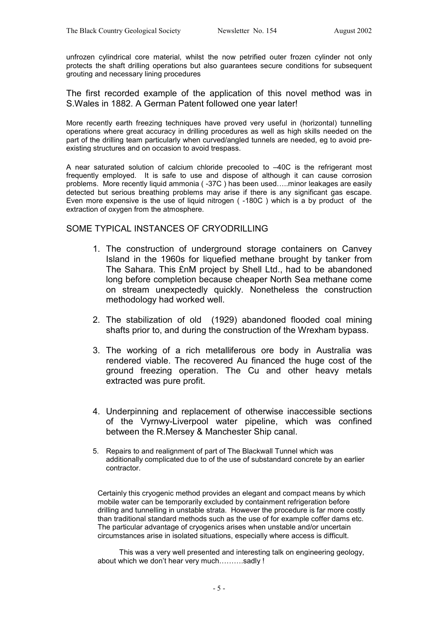unfrozen cylindrical core material, whilst the now petrified outer frozen cylinder not only protects the shaft drilling operations but also guarantees secure conditions for subsequent grouting and necessary lining procedures

The first recorded example of the application of this novel method was in S.Wales in 1882. A German Patent followed one year later!

More recently earth freezing techniques have proved very useful in (horizontal) tunnelling operations where great accuracy in drilling procedures as well as high skills needed on the part of the drilling team particularly when curved/angled tunnels are needed, eg to avoid preexisting structures and on occasion to avoid trespass.

A near saturated solution of calcium chloride precooled to –40C is the refrigerant most frequently employed. It is safe to use and dispose of although it can cause corrosion problems. More recently liquid ammonia ( -37C ) has been used…..minor leakages are easily detected but serious breathing problems may arise if there is any significant gas escape. Even more expensive is the use of liquid nitrogen ( -180C ) which is a by product of the extraction of oxygen from the atmosphere.

#### SOME TYPICAL INSTANCES OF CRYODRILLING

- 1. The construction of underground storage containers on Canvey Island in the 1960s for liquefied methane brought by tanker from The Sahara. This £nM project by Shell Ltd., had to be abandoned long before completion because cheaper North Sea methane come on stream unexpectedly quickly. Nonetheless the construction methodology had worked well.
- 2. The stabilization of old (1929) abandoned flooded coal mining shafts prior to, and during the construction of the Wrexham bypass.
- 3. The working of a rich metalliferous ore body in Australia was rendered viable. The recovered Au financed the huge cost of the ground freezing operation. The Cu and other heavy metals extracted was pure profit.
- 4. Underpinning and replacement of otherwise inaccessible sections of the Vyrnwy-Liverpool water pipeline, which was confined between the R.Mersey & Manchester Ship canal.
- 5. Repairs to and realignment of part of The Blackwall Tunnel which was additionally complicated due to of the use of substandard concrete by an earlier contractor.

Certainly this cryogenic method provides an elegant and compact means by which mobile water can be temporarily excluded by containment refrigeration before drilling and tunnelling in unstable strata. However the procedure is far more costly than traditional standard methods such as the use of for example coffer dams etc. The particular advantage of cryogenics arises when unstable and/or uncertain circumstances arise in isolated situations, especially where access is difficult.

 This was a very well presented and interesting talk on engineering geology, about which we don't hear very much……….sadly !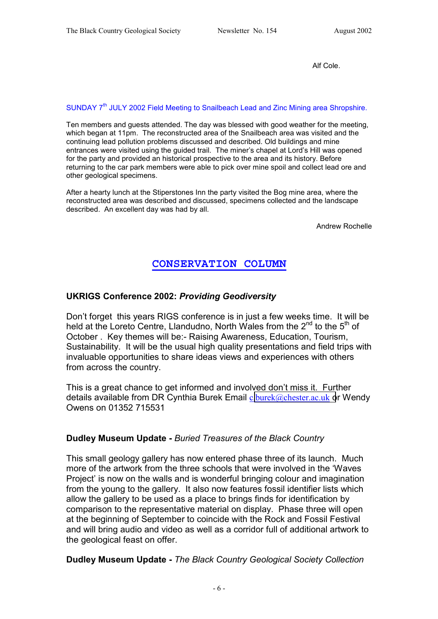Alf Cole.

#### SUNDAY 7<sup>th</sup> JULY 2002 Field Meeting to Snailbeach Lead and Zinc Mining area Shropshire.

Ten members and guests attended. The day was blessed with good weather for the meeting, which began at 11pm. The reconstructed area of the Snailbeach area was visited and the continuing lead pollution problems discussed and described. Old buildings and mine entrances were visited using the guided trail. The miner's chapel at Lord's Hill was opened for the party and provided an historical prospective to the area and its history. Before returning to the car park members were able to pick over mine spoil and collect lead ore and other geological specimens.

After a hearty lunch at the Stiperstones Inn the party visited the Bog mine area, where the reconstructed area was described and discussed, specimens collected and the landscape described. An excellent day was had by all.

Andrew Rochelle

## **CONSERVATION COLUMN**

#### **UKRIGS Conference 2002:** *Providing Geodiversity*

Don't forget this years RIGS conference is in just a few weeks time. It will be held at the Loreto Centre, Llandudno, North Wales from the  $2^{nd}$  to the  $5^{th}$  of October . Key themes will be:- Raising Awareness, Education, Tourism, Sustainability. It will be the usual high quality presentations and field trips with invaluable opportunities to share ideas views and experiences with others from across the country.

This is a great chance to get informed and involved don't miss it. Further details available from DR Cynthia Burek Email c[.burek@chester.ac.uk](mailto:c.burek@chester.ac.uk) or Wendy Owens on 01352 715531

#### **Dudley Museum Update -** *Buried Treasures of the Black Country*

This small geology gallery has now entered phase three of its launch. Much more of the artwork from the three schools that were involved in the 'Waves Project' is now on the walls and is wonderful bringing colour and imagination from the young to the gallery. It also now features fossil identifier lists which allow the gallery to be used as a place to brings finds for identification by comparison to the representative material on display. Phase three will open at the beginning of September to coincide with the Rock and Fossil Festival and will bring audio and video as well as a corridor full of additional artwork to the geological feast on offer.

#### **Dudley Museum Update -** *The Black Country Geological Society Collection*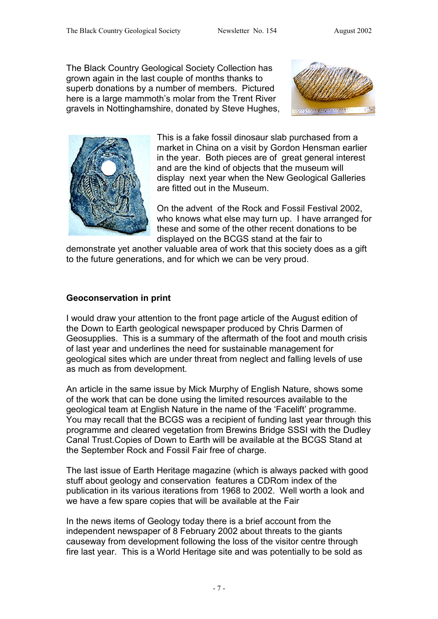The Black Country Geological Society Collection has grown again in the last couple of months thanks to superb donations by a number of members. Pictured here is a large mammoth's molar from the Trent River gravels in Nottinghamshire, donated by Steve Hughes,





This is a fake fossil dinosaur slab purchased from a market in China on a visit by Gordon Hensman earlier in the year. Both pieces are of great general interest and are the kind of objects that the museum will display next year when the New Geological Galleries are fitted out in the Museum.

On the advent of the Rock and Fossil Festival 2002, who knows what else may turn up. I have arranged for these and some of the other recent donations to be displayed on the BCGS stand at the fair to

demonstrate yet another valuable area of work that this society does as a gift to the future generations, and for which we can be very proud.

#### **Geoconservation in print**

I would draw your attention to the front page article of the August edition of the Down to Earth geological newspaper produced by Chris Darmen of Geosupplies. This is a summary of the aftermath of the foot and mouth crisis of last year and underlines the need for sustainable management for geological sites which are under threat from neglect and falling levels of use as much as from development.

An article in the same issue by Mick Murphy of English Nature, shows some of the work that can be done using the limited resources available to the geological team at English Nature in the name of the 'Facelift' programme. You may recall that the BCGS was a recipient of funding last year through this programme and cleared vegetation from Brewins Bridge SSSI with the Dudley Canal Trust.Copies of Down to Earth will be available at the BCGS Stand at the September Rock and Fossil Fair free of charge.

The last issue of Earth Heritage magazine (which is always packed with good stuff about geology and conservation features a CDRom index of the publication in its various iterations from 1968 to 2002. Well worth a look and we have a few spare copies that will be available at the Fair

In the news items of Geology today there is a brief account from the independent newspaper of 8 February 2002 about threats to the giants causeway from development following the loss of the visitor centre through fire last year. This is a World Heritage site and was potentially to be sold as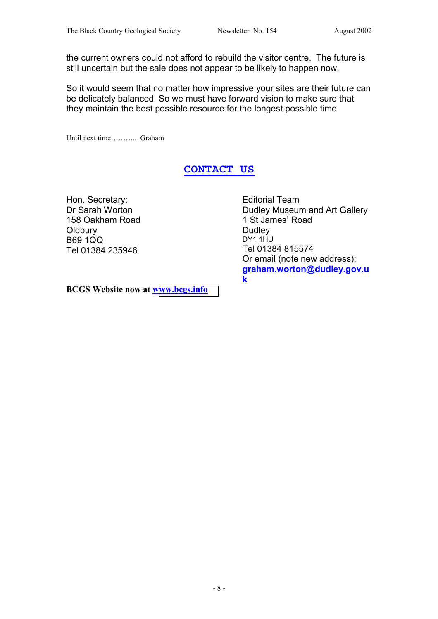the current owners could not afford to rebuild the visitor centre. The future is still uncertain but the sale does not appear to be likely to happen now.

So it would seem that no matter how impressive your sites are their future can be delicately balanced. So we must have forward vision to make sure that they maintain the best possible resource for the longest possible time.

Until next time……….. Graham

### **CONTACT US**

Hon. Secretary: Dr Sarah Worton 158 Oakham Road **Oldbury** B69 1QQ Tel 01384 235946

Editorial Team Dudley Museum and Art Gallery 1 St James' Road Dudley DY1 1HU Tel 01384 815574 Or email (note new address): **graham.worton@dudley.gov.u k**

**BCGS Website now at [www.bcgs.info](http://www.bcgs.info/)**